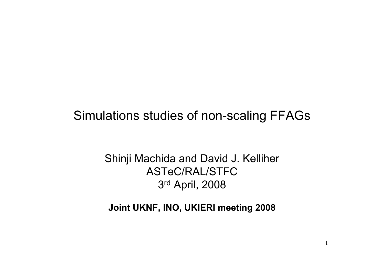#### Simulations studies of non-scaling FFAGs

#### Shinji Machida and David J. Kelliher ASTeC/RAL/STFC 3rd April, 2008

#### **Joint UKNF, INO, UKIERI meeting 2008**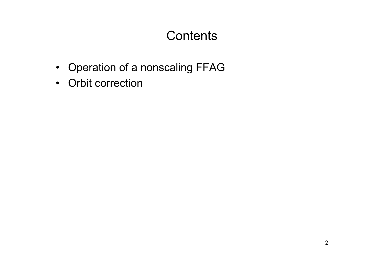### **Contents**

- Operation of a nonscaling FFAG
- Orbit correction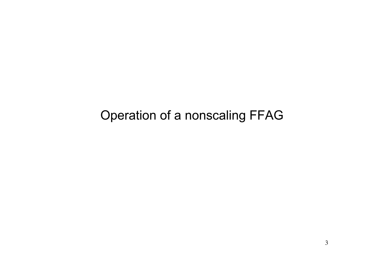Operation of a nonscaling FFAG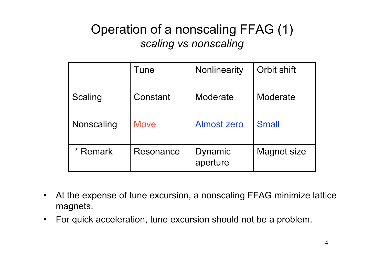## Operation of a nonscaling FFAG (1) *scaling vs nonscaling*

|                | Tune        | Nonlinearity               | Orbit shift  |
|----------------|-------------|----------------------------|--------------|
| <b>Scaling</b> | Constant    | Moderate                   | Moderate     |
| Nonscaling     | <b>Move</b> | Almost zero                | <b>Small</b> |
| Remark         | Resonance   | <b>Dynamic</b><br>aperture | Magnet size  |

- At the expense of tune excursion, a nonscaling FFAG minimize lattice magnets.
- For quick acceleration, tune excursion should not be a problem.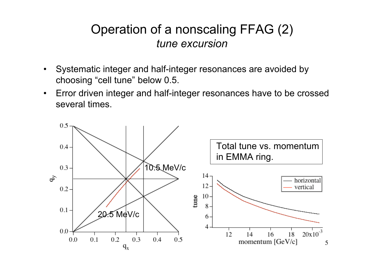#### Operation of a nonscaling FFAG (2) *tune excursion*

- Systematic integer and half-integer resonances are avoided by choosing "cell tune" below 0.5.
- Error driven integer and half-integer resonances have to be crossed several times.

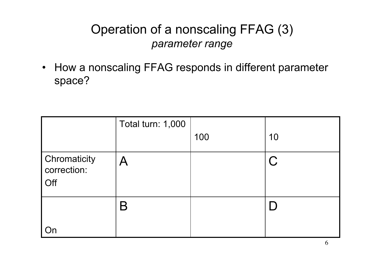### Operation of a nonscaling FFAG (3) *parameter range*

• How a nonscaling FFAG responds in different parameter space?

|                                                         | Total turn: 1,000         | 100 | 10        |
|---------------------------------------------------------|---------------------------|-----|-----------|
| <b>Chromaticity</b><br>$\frac{1}{2}$ correction:<br>Off | $\boldsymbol{\mathsf{A}}$ |     | <b>C.</b> |
|                                                         | 6                         |     |           |
|                                                         |                           |     |           |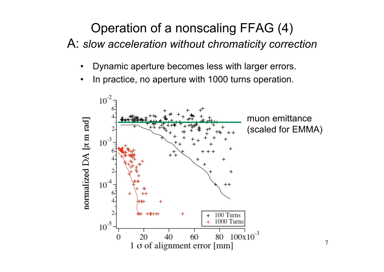## Operation of a nonscaling FFAG (4)

A: *slow acceleration without chromaticity correction*

- Dynamic aperture becomes less with larger errors.
- In practice, no aperture with 1000 turns operation.

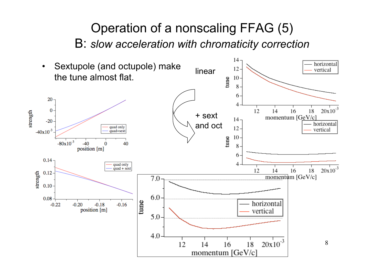#### Operation of a nonscaling FFAG (5) B: *slow acceleration with chromaticity correction*

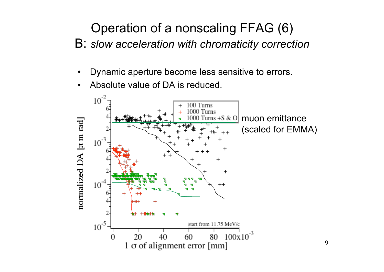## Operation of a nonscaling FFAG (6)

- B: *slow acceleration with chromaticity correction*
	- Dynamic aperture become less sensitive to errors.
	- Absolute value of DA is reduced.

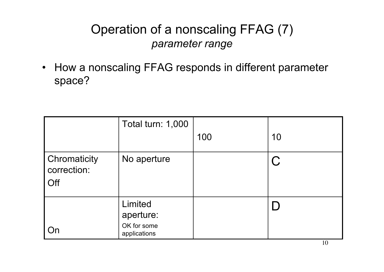## Operation of a nonscaling FFAG (7) *parameter range*

• How a nonscaling FFAG responds in different parameter space?

|                                    | Total turn: 1,000                        |     |    |
|------------------------------------|------------------------------------------|-----|----|
|                                    |                                          | 100 | 10 |
| Chromaticity<br>correction:<br>Off | No aperture                              |     | C  |
|                                    | Limited                                  |     | L) |
| On                                 | aperture:<br>OK for some<br>applications |     |    |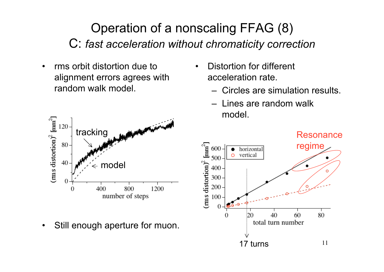### Operation of a nonscaling FFAG (8) C: *fast acceleration without chromaticity correction*

• rms orbit distortion due to alignment errors agrees with random walk model.



• Still enough aperture for muon.

- Distortion for different acceleration rate.
	- Circles are simulation results.
	- Lines are random walk model.

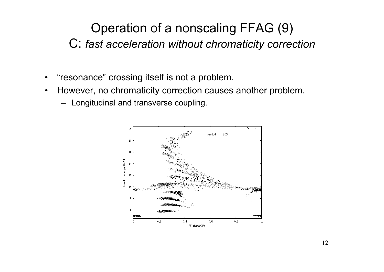## Operation of a nonscaling FFAG (9) C: *fast acceleration without chromaticity correction*

- $\bullet$ "resonance" crossing itself is not a problem.
- However, no chromaticity correction causes another problem.
	- Longitudinal and transverse coupling.

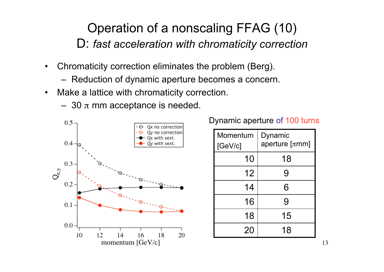### Operation of a nonscaling FFAG (10) D: *fast acceleration with chromaticity correction*

- Chromaticity correction eliminates the problem (Berg).
	- Reduction of dynamic aperture becomes a concern.
- Make a lattice with chromaticity correction.
	- 30  $\pi$  mm acceptance is needed.



Dynamic aperture of 100 turns

| Momentum<br>[GeV/c] | Dynamic<br>aperture $[\pi$ mm] |  |
|---------------------|--------------------------------|--|
| 10                  | 18                             |  |
| 12                  | 9                              |  |
| 14                  | 6                              |  |
| 16                  | 9                              |  |
| 18                  | 15                             |  |
| 20                  | 18                             |  |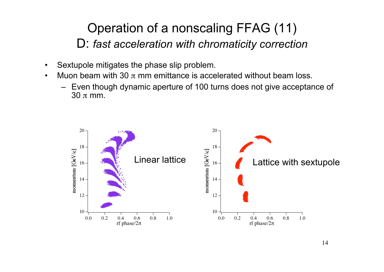### Operation of a nonscaling FFAG (11) D: *fast acceleration with chromaticity correction*

- Sextupole mitigates the phase slip problem.
- Muon beam with 30  $\pi$  mm emittance is accelerated without beam loss.
	- Even though dynamic aperture of 100 turns does not give acceptance of  $30 \pi$  mm.

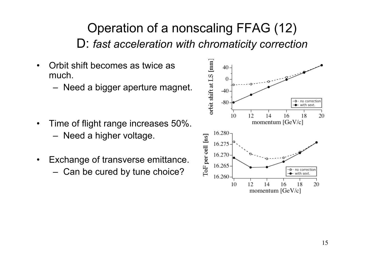### Operation of a nonscaling FFAG (12) D: *fast acceleration with chromaticity correction*

- Orbit shift becomes as twice as much.
	- Need a bigger aperture magnet.
- Time of flight range increases 50%. – Need a higher voltage.
- Exchange of transverse emittance.
	- Can be cured by tune choice?

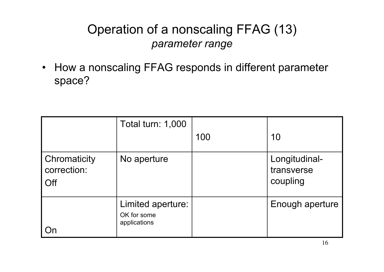### Operation of a nonscaling FFAG (13) *parameter range*

• How a nonscaling FFAG responds in different parameter space?

|                                    | Total turn: 1,000                                | 100 | 10                                      |
|------------------------------------|--------------------------------------------------|-----|-----------------------------------------|
| Chromaticity<br>correction:<br>Off | No aperture                                      |     | Longitudinal-<br>transverse<br>coupling |
|                                    | Limited aperture:<br>OK for some<br>applications |     | Enough aperture                         |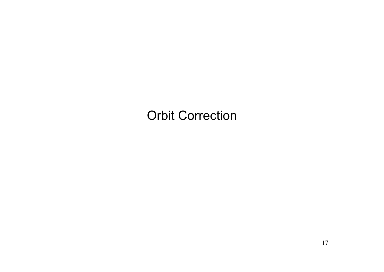### Orbit Correction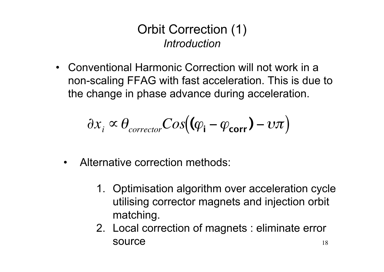#### Orbit Correction (1) *Introduction*

• Conventional Harmonic Correction will not work in a non-scaling FFAG with fast acceleration. This is due to the change in phase advance during acceleration.

$$
\partial x_i \propto \theta_{\text{corrector}} Cos((\varphi_i - \varphi_{\text{corr}}) - \upsilon \pi)
$$

- Alternative correction methods:
	- 1. Optimisation algorithm over acceleration cycle utilising corrector magnets and injection orbit matching.
	- 18 2. Local correction of magnets : eliminate error source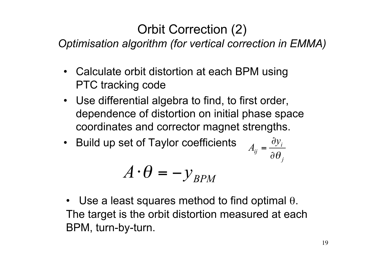## Orbit Correction (2)

*Optimisation algorithm (for vertical correction in EMMA)*

- Calculate orbit distortion at each BPM using PTC tracking code
- Use differential algebra to find, to first order, dependence of distortion on initial phase space coordinates and corrector magnet strengths.
- Build up set of Taylor coefficients

$$
A_{ij} = \frac{\partial y_i}{\partial \theta_j}
$$

$$
A \cdot \theta = -y_{BPM} \tag{00}
$$

• Use a least squares method to find optimal  $\theta$ . The target is the orbit distortion measured at each BPM, turn-by-turn.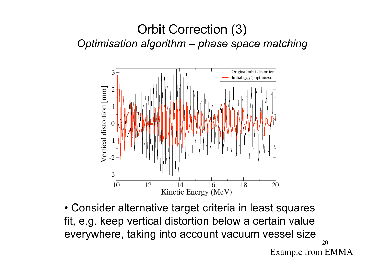#### Orbit Correction (3) *Optimisation algorithm – phase space matching*



20 Example from EMMA • Consider alternative target criteria in least squares fit, e.g. keep vertical distortion below a certain value everywhere, taking into account vacuum vessel size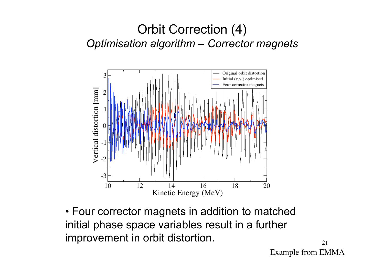#### Orbit Correction (4) *Optimisation algorithm – Corrector magnets*



• Four corrector magnets in addition to matched initial phase space variables result in a further improvement in orbit distortion.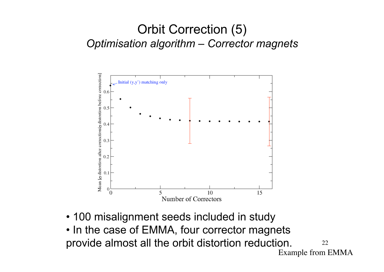#### Orbit Correction (5) *Optimisation algorithm – Corrector magnets*



- 100 misalignment seeds included in study
- 22 Example from EMMA • In the case of EMMA, four corrector magnets provide almost all the orbit distortion reduction.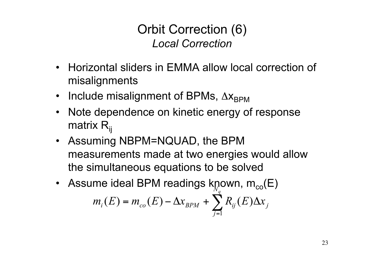Orbit Correction (6) *Local Correction*

- Horizontal sliders in EMMA allow local correction of misalignments
- Include misalignment of BPMs,  $\Delta x_{BPM}$
- Note dependence on kinetic energy of response matrix  $R_{ii}$
- Assuming NBPM=NQUAD, the BPM measurements made at two energies would allow the simultaneous equations to be solved
- Assume ideal BPM readings known,  $m_{co}(\text{E})$  $\sum_{i=1}^{n}$ =  $= m_{_{co}}(E) - \Delta x_{_{BPM}} + \sum R_{_{ij}}(E) \Delta$  $N_q$ *j*  $m_i(E) = m_{co}(E) - \Delta x_{BPM} + \sum_{ij} R_{ij}(E) \Delta x_{ji}$ 1  $(E) = m_{c0}(E) - \Delta x_{RPM} + \sum R_{ii}(E)$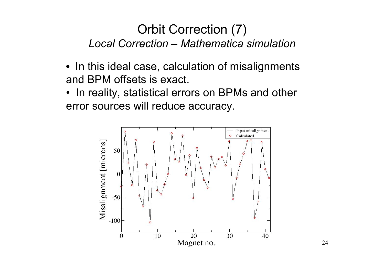#### Orbit Correction (7) *Local Correction – Mathematica simulation*

- In this ideal case, calculation of misalignments and BPM offsets is exact.
- In reality, statistical errors on BPMs and other error sources will reduce accuracy.